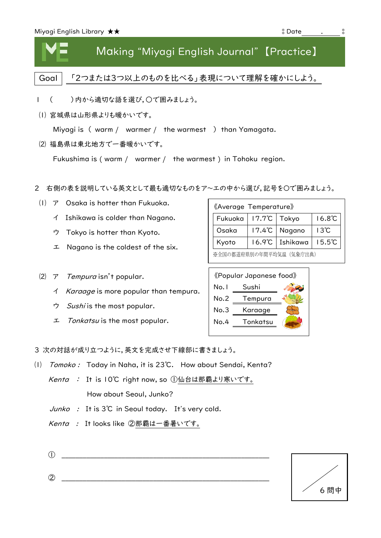

## Making "Miyagi English Journal" 【Practice】

Goal | 「2つまたは3つ以上のものを比べる」表現について理解を確かにしよう。

- Ⅰ ( )内から適切な語を選び,○で囲みましょう。
- ⑴ 宮城県は山形県よりも暖かいです。

Miyagi is ( warm / warmer / the warmest ) than Yamagata.

⑵ 福島県は東北地方で一番暖かいです。

Fukushima is ( warm / warmer / the warmest ) in Tohoku region.

- 2 右側の表を説明している英文として最も適切なものをア~エの中から選び,記号を〇で囲みましょう。
	- ⑴ ア Osaka is hotter than Fukuoka.
		- イ Ishikawa is colder than Nagano.
		- ウ Tokyo is hotter than Kyoto.
		- エ Nagano is the coldest of the six.
	- (2)  $\mathcal{T}$  Tempura isn't popular.
		- イ Karaage is more popular than tempura.
		- ウ Sushi is the most popular.
		- エ Tonkatsu is the most popular.

| «Average Temperature»    |                          |          |                  |  |
|--------------------------|--------------------------|----------|------------------|--|
| Fukuoka                  | $17.7^{\circ}$ C   Tokyo |          | $16.8^{\circ}$ C |  |
| Osaka                    | $17.4^{\circ}$ C         | Nagano   | $13^{\circ}$ C   |  |
| Kyoto                    | $16.9^{\circ}C$          | Ishikawa | $15.5^{\circ}$ C |  |
| ※全国の都道府県別の年間平均気温 (気象庁出典) |                          |          |                  |  |



3 次の対話が成り立つように,英文を完成させ下線部に書きましょう。

- ⑴ Tomoko : Today in Naha, it is 23℃. How about Sendai, Kenta?
	- *Kenta :* It is IO℃ right now, so ①仙台は那覇より寒いです。 How about Seoul, Junko?
	- Junko : It is 3℃ in Seoul today. It's very cold.
	- Kenta : It looks like ②那覇は一番暑いです。
	- ① \_\_\_\_\_\_\_\_\_\_\_\_\_\_\_\_\_\_\_\_\_\_\_\_\_\_\_\_\_\_\_\_\_\_\_\_\_\_\_\_\_\_\_\_\_\_\_\_\_\_\_\_\_\_\_\_\_\_\_

 $\oslash$   $\oslash$   $\oslash$   $\oslash$   $\oslash$   $\oslash$   $\oslash$   $\oslash$   $\oslash$   $\oslash$   $\oslash$   $\oslash$   $\oslash$   $\oslash$   $\oslash$   $\oslash$   $\oslash$   $\oslash$   $\oslash$   $\oslash$   $\oslash$   $\oslash$   $\oslash$   $\oslash$   $\oslash$   $\oslash$   $\oslash$   $\oslash$   $\oslash$   $\oslash$   $\oslash$   $\oslash$   $\oslash$   $\oslash$   $\oslash$   $\oslash$   $\oslash$